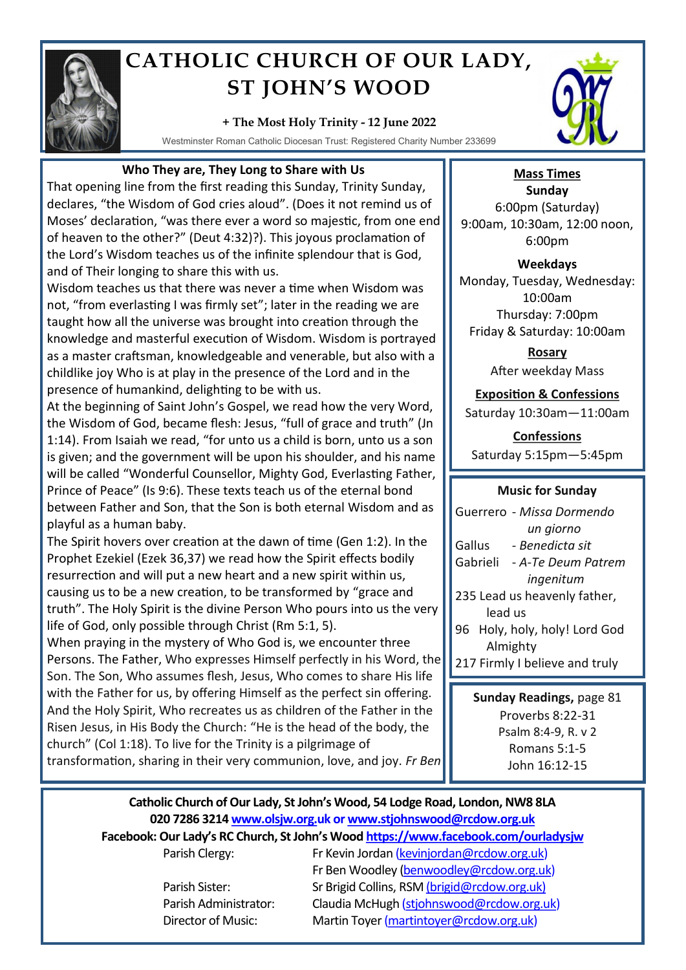

# **CATHOLIC CHURCH OF OUR LADY, ST JOHN'S WOOD**

### **+ The Most Holy Trinity - 12 June 2022**

Westminster Roman Catholic Diocesan Trust: Registered Charity Number 233699



# **Who They are, They Long to Share with Us**

That opening line from the first reading this Sunday, Trinity Sunday, declares, "the Wisdom of God cries aloud". (Does it not remind us of Moses' declaration, "was there ever a word so majestic, from one end of heaven to the other?" (Deut 4:32)?). This joyous proclamation of the Lord's Wisdom teaches us of the infinite splendour that is God, and of Their longing to share this with us.

Wisdom teaches us that there was never a time when Wisdom was not, "from everlasting I was firmly set"; later in the reading we are taught how all the universe was brought into creation through the knowledge and masterful execution of Wisdom. Wisdom is portrayed as a master craftsman, knowledgeable and venerable, but also with a childlike joy Who is at play in the presence of the Lord and in the presence of humankind, delighting to be with us.

At the beginning of Saint John's Gospel, we read how the very Word, the Wisdom of God, became flesh: Jesus, "full of grace and truth" (Jn 1:14). From Isaiah we read, "for unto us a child is born, unto us a son is given; and the government will be upon his shoulder, and his name will be called "Wonderful Counsellor, Mighty God, Everlasting Father, Prince of Peace" (Is 9:6). These texts teach us of the eternal bond between Father and Son, that the Son is both eternal Wisdom and as playful as a human baby.

The Spirit hovers over creation at the dawn of time (Gen 1:2). In the Prophet Ezekiel (Ezek 36,37) we read how the Spirit effects bodily resurrection and will put a new heart and a new spirit within us, causing us to be a new creation, to be transformed by "grace and truth". The Holy Spirit is the divine Person Who pours into us the very life of God, only possible through Christ (Rm 5:1, 5).

When praying in the mystery of Who God is, we encounter three Persons. The Father, Who expresses Himself perfectly in his Word, the Son. The Son, Who assumes flesh, Jesus, Who comes to share His life with the Father for us, by offering Himself as the perfect sin offering. And the Holy Spirit, Who recreates us as children of the Father in the Risen Jesus, in His Body the Church: "He is the head of the body, the church" (Col 1:18). To live for the Trinity is a pilgrimage of transformation, sharing in their very communion, love, and joy. *Fr Ben*

# **Mass Times**

**Sunday** 6:00pm (Saturday) 9:00am, 10:30am, 12:00 noon, 6:00pm

#### **Weekdays**

Monday, Tuesday, Wednesday: 10:00am Thursday: 7:00pm Friday & Saturday: 10:00am

> **Rosary** After weekday Mass

# **Exposition & Confessions**

Saturday 10:30am—11:00am

**Confessions**  Saturday 5:15pm—5:45pm

## **Music for Sunday**

Guerrero - *Missa Dormendo un giorno* Gallus - *Benedicta sit* Gabrieli - *A-Te Deum Patrem ingenitum*  235 Lead us heavenly father, lead us 96 Holy, holy, holy! Lord God Almighty 217 Firmly I believe and truly

**Sunday Readings,** page 81 Proverbs 8:22-31 Psalm 8:4-9, R. v 2 Romans 5:1-5 John 16:12-15

# **Catholic Church of Our Lady, St John's Wood, 54 Lodge Road, London, NW8 8LA 020 7286 3214 www.olsjw.org.uk or www.stjohnswood@rcdow.org.uk**

**Facebook: Our Lady's RC Church, St John's Wood https://www.facebook.com/ourladysjw**

Parish Clergy: Fr Kevin Jordan (kevinjordan@rcdow.org.uk) Fr Ben Woodley (benwoodley@rcdow.org.uk) Parish Sister: Sr Brigid Collins, RSM (brigid@rcdow.org.uk) Parish Administrator: Claudia McHugh (stjohnswood@rcdow.org.uk) Director of Music: Martin Toyer (martintoyer@rcdow.org.uk)